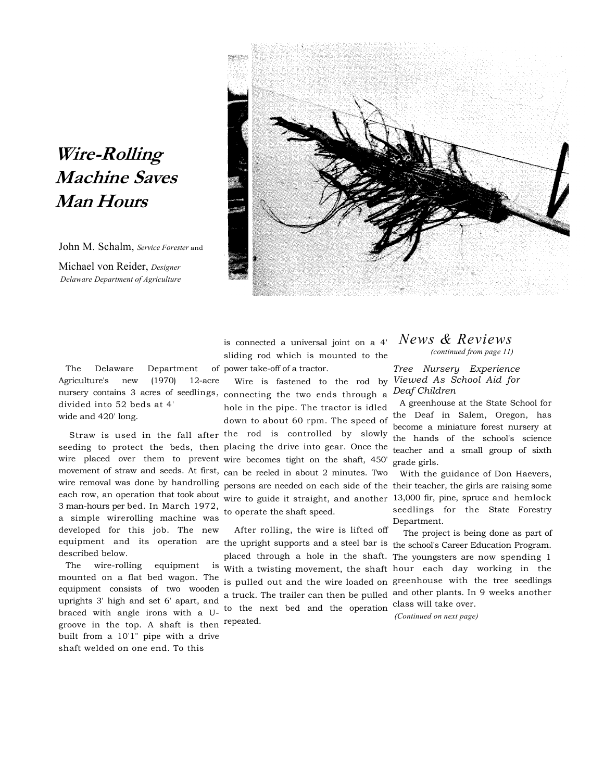## **Wire-Rolling Machine Saves Man Hours**

John M. Schalm, *Service Forester* and

Michael von Reider, *Designer Delaware Department of Agriculture* 



The Delaware Department Agriculture's new (1970) 12-acre divided into 52 beds at 4' wide and 420' long.

each row, an operation that took about 3 man-hours per bed. In March 1972, a simple wirerolling machine was developed for this job. The new equipment and its operation are described below.

The wire-rolling equipment mounted on a flat bed wagon. The equipment consists of two wooden uprights 3' high and set 6' apart, and braced with angle irons with a Ugroove in the top. A shaft is then repeated. built from a 10'1" pipe with a drive shaft welded on one end. To this

is connected a universal joint on a 4' sliding rod which is mounted to the of power take-off of a tractor.

nursery contains 3 acres of seedlings, connecting the two ends through a Wire is fastened to the rod by hole in the pipe. The tractor is idled down to about 60 rpm. The speed of

Straw is used in the fall after the rod is controlled by slowly seeding to protect the beds, then placing the drive into gear. Once the wire placed over them to prevent wire becomes tight on the shaft, 450' movement of straw and seeds. At first, can be reeled in about 2 minutes. Two wire removal was done by handrolling persons are needed on each side of the wire to guide it straight, and another to operate the shaft speed.

> After rolling, the wire is lifted off the upright supports and a steel bar is the school's Career Education Program. placed through a hole in the shaft. The youngsters are now spending 1 With a twisting movement, the shaft hour each day working in the is pulled out and the wire loaded on greenhouse with the tree seedlings a truck. The trailer can then be pulled to the next bed and the operation class will take over.

## *News & Reviews (continued from page 11)*

*Tree Nursery Experience Viewed As School Aid for Deaf Children* 

A greenhouse at the State School for the Deaf in Salem, Oregon, has become a miniature forest nursery at the hands of the school's science teacher and a small group of sixth grade girls.

With the guidance of Don Haevers, their teacher, the girls are raising some 13,000 fir, pine, spruce and hemlock seedlings for the State Forestry Department.

The project is being done as part of and other plants. In 9 weeks another

*(Continued on next page)*